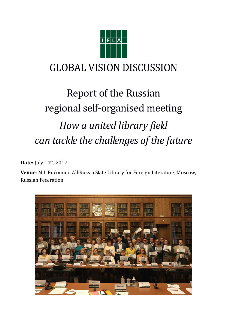

## GLOBAL VISION DISCUSSION

# Report of the Russian regional self-organised meeting *How a united library field can tackle the challenges of the future*

**Date:** July 14th, 2017

**Venue**: M.I. Rudomino All-Russia State Library for Foreign Literature, Moscow, Russian Federation

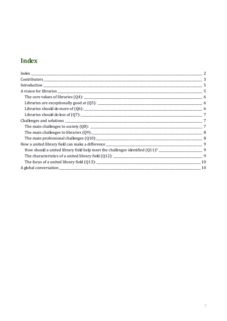## **Index**

| 7         |
|-----------|
|           |
|           |
|           |
|           |
|           |
|           |
|           |
| $\sim$ 10 |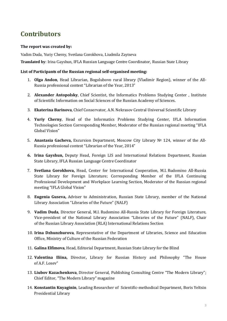## **Contributors**

#### **The report was created by:**

Vadim Duda, Yuriy Cherny, Svetlana Gorokhova, Liudmila Zaytseva

**Translated by**: Irina Gayshun, IFLA Russian Language Centre Coordinator, Russian State Library

#### **List of Participants of the Russian regional self-organised meeting:**

- 1. **Olga Andon**, Head Librarian, Bogolubovo rural library (Vladimir Region), winner of the All-Russia professional contest "Librarian of the Year, 2013"
- 2. **Alexander Antopolsky**, Chief Scientist, the Informatics Problems Studying Center , Institute of Scientific Information on Social Sciences of the Russian Academy of Sciences.
- 3. **Ekaterina Barinova**, Chief Conservator, A.N. Nekrasov Central Universal Scientific Library
- 4. **Yuriy Cherny**, Head of the Informatics Problems Studying Center, IFLA Information Technologies Section Corresponding Member, Moderator of the Russian regional meeting "IFLA Global Vision"
- 5. **Anastasia Gacheva,** Excursion Department, Moscow City Library № 124, winner of the All-Russia professional contest "Librarian of the Year, 2014"
- **6. Irina Gayshun,** Deputy Head, Foreign LIS and International Relations Department, Russian State Library, IFLA Russian Language Centre Coordinator
- 7. **Svetlana Gorokhova,** Head, Center for International Cooperation, M.I. Rudomino All-Russia State Library for Foreign Literature; Corresponding Member of the IFLA Continuing Professional Development and Workplace Learning Section, Moderator of the Russian regional meeting "IFLA Global Vision"
- 8. **Eugenia Guseva,** Adviser to Administration, Russian State Library, member of the National Library Association "Libraries of the Future" (NALF)
- 9. **Vadim Duda**, Director General, M.I. Rudomino All-Russia State Library for Foreign Literature, Vice-president of the National Library Association "Libraries of the Future" (NALF), Chair of the Russian Library Association (RLA) International Relations Section
- 10. **Irina Dzhunzhurova**, Representative of the Department of Libraries, Science and Education Office, Ministry of Culture of the Russian Federation
- 11. **Galina Elfimova**, Head, Editorial Department, Russian State Library for the Blind
- 12. **Valentina Iliina,** Director**,** Library for Russian History and Philosophy "The House of A.F. Losev"
- 13. **Liubov Kazachenkova**, Director General, Publishing Consulting Centre "The Modern Library"; Chief Editor, "The Modern Library" magazine
- 14. **Konstantin Knyaginin**, Leading Researcher of Scientific-methodical Department, Boris Yeltsin Presidential Library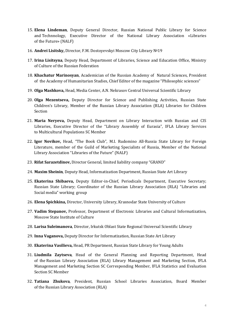- 15. **Elena Lindeman**, Deputy General Director, Russian National Public Library for Science and Technnology, Executive Director of the National Library Association «Libraries of the Future» (NALF)
- 16. **Andrei Lisitsky,** Director, F.M. Dostoyevskyi Moscow City Library №19
- 17. **Irina Lisitsyna**, Deputy Head, Department of Libraries, Science and Education Office, Ministry of Culture of the Russian Federation
- 18. **Khachatur Marinosyan**, Academician of the Russian Academy of Natural Sciences, President of the Academy of Humanitarian Studies, Chief Editor of the magazine "Philosophic sciences"
- 19. **Olga Mashkova,** Head, Media Center, A.N. Nekrasov Central Universal Scientific Library
- 20. **Olga Mezentseva,** Deputy Director for Science and Publishing Activities, Russian State Children's Library, Member of the Russian Library Association (RLA) Libraries for Children Section
- 21. **Maria Neryeva,** Deputy Head, Department on Library Interaction with Russian and CIS Libraries, Executive Director of the "Library Assembly of Eurasia", IFLA Library Services to Multicultural Populations SC Member
- 22. **Igor Novikov,** Head, "The Book Club", M.I. Rudomino All-Russia State Library for Foreign Literature, member of the Guild of Marketing Specialists of Russia, Member of the National Library Association "Libraries of the Future" (NALF)
- 23. **Rifat Sarazetdinov,** Director General, limited liability company "GRAND"
- 24. **Maxim Sheinin**, Deputy Head, Informatization Department, Russian State Art Library
- 25. **Ekaterina Shibaeva,** Deputy Editor-in-Chief, Periodicals Department, Executive Secretary; Russian State Library; Coordinator of the Russian Library Association (RLA) "Libraries and Social media" working group
- 26. **Elena Spichkina,** Director, University Library, Krasnodar State University of Culture
- 27. **Vadim Stepanov,** Professor, Department of Electronic Libraries and Cultural Informatization, Moscow State Institute of Culture
- 28. **Larisa Suleimanova**, Director, Irkutsk Oblast State Regional Universal Scientific Library
- 29. **Inna Vaganova,** Deputy Director for Informatization, Russian State Art Library
- 30. **Ekaterina Vasilieva,** Head, PR Department, Russian State Library for Young Adults
- 31. **Liudmila Zaytseva**, Head of the General Planning and Reporting Department, Head of the Russian Library Association (RLA) Library Management and Marketing Section, IFLA Management and Marketing Section SC Corresponding Member, IFLA Statistics and Evaluation Section SC Member
- 32. **Tatiana Zhukova**, President, Russian School Libraries Association, Board Member of the Russian Library Association (RLA)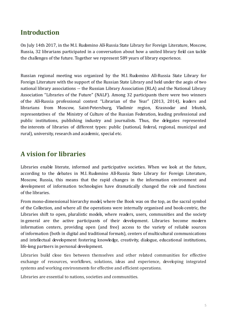## **Introduction**

On July 14th 2017, in the M.I. Rudomino All-Russia State Library for Foreign Literature, Moscow, Russia, 32 librarians participated in a conversation about how a united library field can tackle the challenges of the future. Together we represent 589 years of library experience.

Russian regional meeting was organized by the M.I. Rudomino All-Russia State Library for Foreign Literature with the support of the Russian State Library and held under the aegis of two national library associations -- the Russian Library Association (RLA) and the National Library Association "Libraries of the Future" (NALF). Among 32 participants there were two winners of the All-Russia professional contest "Librarian of the Year" (2013, 2014), leaders and librarians from Moscow, Saint-Petersburg, Vladimir region, Krasnodar and Irkutsk, representatives of the Ministry of Culture of the Russian Federation, leading professional and public institutions, publishing industry and journalists. Thus, the delegates represented the interests of libraries of different types: public (national, federal, regional, municipal and rural), university, research and academic, special etc.

## **A vision for libraries**

Libraries enable literate, informed and participative societies. When we look at the future, according to the debates in M.I. Rudomino All-Russia State Library for Foreign Literature, Moscow, Russia, this means that the rapid changes in the information environment and development of information technologies have dramatically changed the role and functions of the libraries.

From mono-dimensional hierarchy model, where the Book was on the top, as the sacral symbol of the Collection, and where all the operations were internally organised and book-centric, the Libraries shift to open, pluralistic models, where readers, users, communities and the society in general are the active participants of their development. Libraries become modern information centers, providing open (and free) access to the variety of reliable sources of information (both in digital and traditional formats), centers of multicultural communications and intellectual development fostering knowledge, creativity, dialogue, educational institutions, life-long partners in personal development.

Libraries build close ties between themselves and other related communities for effective exchange of resources, workflows, solutions, ideas and experience, developing integrated systems and working environments for effective and efficient operations.

Libraries are essential to nations, societies and communities.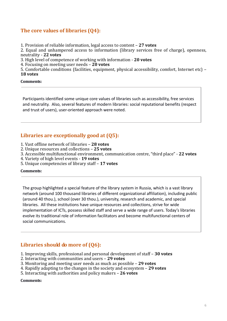#### **The core values of libraries (Q4):**

1. Provision of reliable information, legal access to content – **27 votes**

2. Equal and unhampered access to information (library services free of charge), openness, neutrality - **22 votes**

3. High level of competence of working with information - **20 votes**

4. Focusing on meeting user needs – **20 votes**

5. Comfortable conditions (facilities, equipment, physical accessibility, comfort, Internet etc) – **18 votes**

**Comments:**

Participants identified some unique core values of libraries such as accessibility, free services and neutrality. Also, several features of modern libraries: social reputational benefits (respect and trust of users), user-oriented approach were noted.

#### **Libraries are exceptionally good at (Q5):**

- 1. Vast offline network of libraries **28 votes**
- 2. Unique resources and collections **25 votes**
- 3. Accessible multifunctional environment, communication centre, "third place" **22 votes**
- 4. Variety of high level events **19 votes**
- 5. Unique competencies of library staff **17 votes**

#### **Comments:**

The group highlighted a special feature of the library system in Russia, which is a vast library network (around 100 thousand libraries of different organizational affiliation), including public (around 40 thou.), school (over 30 thou.), university, research and academic, and special libraries. All these institutions have unique resources and collections, strive for wide implementation of ICTs, possess skilled staff and serve a wide range of users. Today's libraries evolve its traditional role of information facilitators and become multifunctional centers of social communications.

#### **Libraries should do more of (Q6):**

- 1. Improving skills, professional and personal development of staff **30 votes**
- 2. Interacting with communities and users **29 votes**
- 3. Monitoring and meeting user needs as much as possible **29 votes**
- 4. Rapidly adapting to the changes in the society and ecosystem **29 votes**
- 5. Interacting with authorities and policy makers **26 votes**

**Comments:**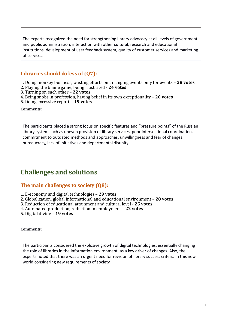The experts recognized the need for strengthening library advocacy at all levels of government and public administration, interaction with other cultural, research and educational institutions, development of user feedback system, quality of customer services and marketing of services.

#### **Libraries should do less of (Q7):**

- 1. Doing monkey business, wasting efforts on arranging events only for events **28 votes**
- 2. Playing the blame game, being frustrated **24 votes**
- 3. Turning on each other **22 votes**
- 4. Being snobs in profession, having belief in its own exceptionality **20 votes**
- 5. Doing excessive reports -**19 votes**

#### **Comments:**

The participants placed a strong focus on specific features and "pressure points" of the Russian library system such as uneven provision of library services, poor intersectional coordination, commitment to outdated methods and approaches, unwillingness and fear of changes, bureaucracy, lack of initiatives and departmental disunity.

## **Challenges and solutions**

#### **The main challenges to society (Q8):**

- 1. E-economy and digital technologies **29 votes**
- 2. Globalization, global informational and educational environment **28 votes**
- 3. Reduction of educational attainment and cultural level **25 votes**
- 4. Automated production, reduction in employment **22 votes**
- 5. Digital divide **19 votes**

#### **Comments:**

The participants considered the explosive growth of digital technologies, essentially changing the role of libraries in the information environment, as a key driver of changes. Also, the experts noted that there was an urgent need for revision of library success criteria in this new world considering new requirements of society.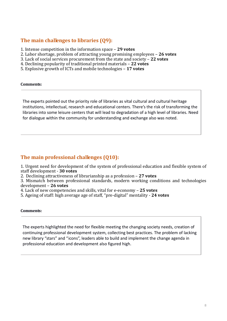#### **The main challenges to libraries (Q9):**

- 1. Intense competition in the information space **29 votes**
- 2. Labor shortage, problem of attracting young promising employees **26 votes**
- 3. Lack of social services procurement from the state and society **22 votes**
- 4. Declining popularity of traditional printed materials **22 votes**
- 5. Explosive growth of ICTs and mobile technologies **17 votes**

#### **Comments:**

The experts pointed out the priority role of libraries as vital cultural and cultural heritage institutions, intellectual, research and educational centers. There's the risk of transforming the libraries into some leisure centers that will lead to degradation of a high level of libraries. Need for dialogue within the community for understanding and exchange also was noted.

#### **The main professional challenges (Q10):**

1. Urgent need for development of the system of professional education and flexible system of staff development - **30 votes**

2. Declining attractiveness of librarianship as a profession – **27 votes**

3. Mismatch between professional standards, modern working conditions and technologies development – **26 votes**

4. Lack of new competencies and skills, vital for e-economy – **25 votes**

5. Ageing of staff: high average age of staff, "pre-digital" mentality - **24 votes**

#### **Comments:**

The experts highlighted the need for flexible meeting the changing society needs, creation of continuing professional development system, collecting best practices. The problem of lacking new library "stars" and "icons", leaders able to build and implement the change agenda in professional education and development also figured high.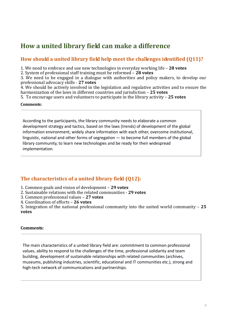## **How a united library field can make a difference**

#### **How should a united library field help meet the challenges identified (Q11)?**

1. We need to embrace and use new technologies in everyday working life – **28 votes**

2. System of professional staff training must be reformed – **28 votes**

3. We need to be engaged in a dialogue with authorities and policy makers, to develop our professional advocacy skills - **27 votes**

4. We should be actively involved in the legislation and regulative activities and to ensure the harmonization of the laws in different countries and jurisdiction – **25 votes**

5. To encourage users and volunteers to participate in the library activity – **25 votes**

#### **Comments:**

According to the participants, the library community needs to elaborate a common development strategy and tactics, based on the laws (trends) of development of the global information environment, widely share information with each other, overcome institutional, linguistic, national and other forms of segregation — to become full members of the global library community, to learn new technologies and be ready for their widespread implementation.

#### **The characteristics of a united library field (Q12):**

- 1. Common goals and vision of development **29 votes**
- 2. Sustainable relations with the related communities **29 votes**
- 3. Common professional values **27 votes**
- 4. Coordination of efforts **26 votes**

5. Integration of the national professional community into the united world community – **25 votes**

#### **Comments:**

The main characteristics of a united library field are: commitment to common professional values, ability to respond to the challenges of the time, professional solidarity and team building, development of sustainable relationships with related communities (archives, museums, publishing industries, scientific, educational and IT communities etc.), strong and high-tech network of communications and partnerships.